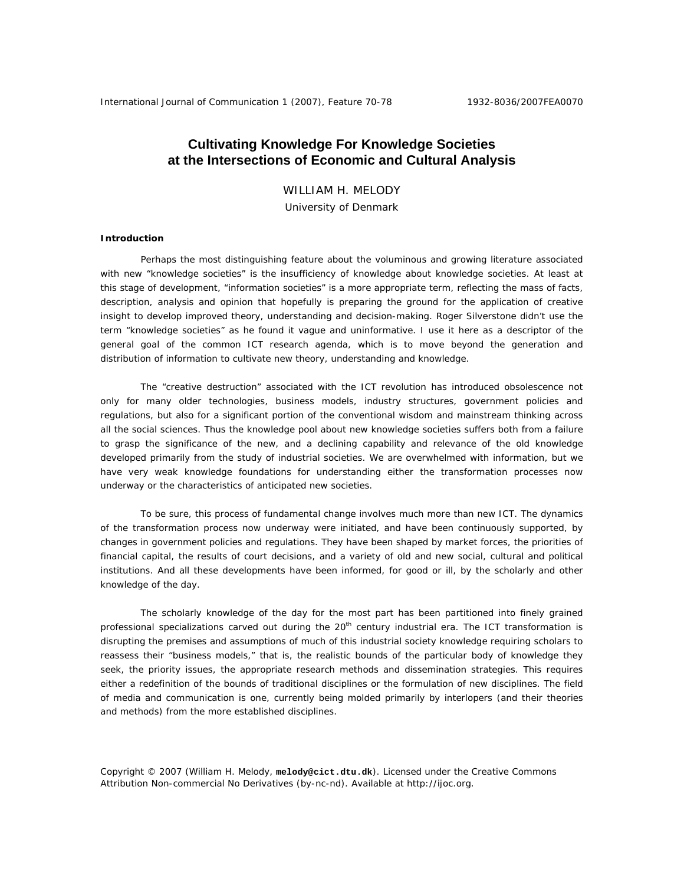# **Cultivating Knowledge For Knowledge Societies at the Intersections of Economic and Cultural Analysis**

WILLIAM H. MELODY

University of Denmark

# **Introduction**

Perhaps the most distinguishing feature about the voluminous and growing literature associated with new "knowledge societies" is the insufficiency of knowledge about knowledge societies. At least at this stage of development, "information societies" is a more appropriate term, reflecting the mass of facts, description, analysis and opinion that hopefully is preparing the ground for the application of creative insight to develop improved theory, understanding and decision-making. Roger Silverstone didn't use the term "knowledge societies" as he found it vague and uninformative. I use it here as a descriptor of the general goal of the common ICT research agenda, which is to move beyond the generation and distribution of information to cultivate new theory, understanding and knowledge.

The "creative destruction" associated with the ICT revolution has introduced obsolescence not only for many older technologies, business models, industry structures, government policies and regulations, but also for a significant portion of the conventional wisdom and mainstream thinking across all the social sciences. Thus the knowledge pool about new knowledge societies suffers both from a failure to grasp the significance of the new, and a declining capability and relevance of the old knowledge developed primarily from the study of industrial societies. We are overwhelmed with information, but we have very weak knowledge foundations for understanding either the transformation processes now underway or the characteristics of anticipated new societies.

To be sure, this process of fundamental change involves much more than new ICT. The dynamics of the transformation process now underway were initiated, and have been continuously supported, by changes in government policies and regulations. They have been shaped by market forces, the priorities of financial capital, the results of court decisions, and a variety of old and new social, cultural and political institutions. And all these developments have been informed, for good or ill, by the scholarly and other knowledge of the day.

The scholarly knowledge of the day for the most part has been partitioned into finely grained professional specializations carved out during the 20<sup>th</sup> century industrial era. The ICT transformation is disrupting the premises and assumptions of much of this industrial society knowledge requiring scholars to reassess their "business models," that is, the realistic bounds of the particular body of knowledge they seek, the priority issues, the appropriate research methods and dissemination strategies. This requires either a redefinition of the bounds of traditional disciplines or the formulation of new disciplines. The field of media and communication is one, currently being molded primarily by interlopers (and their theories and methods) from the more established disciplines.

Copyright © 2007 (William H. Melody, **melody@cict.dtu.dk**). Licensed under the Creative Commons Attribution Non-commercial No Derivatives (by-nc-nd). Available at http://ijoc.org.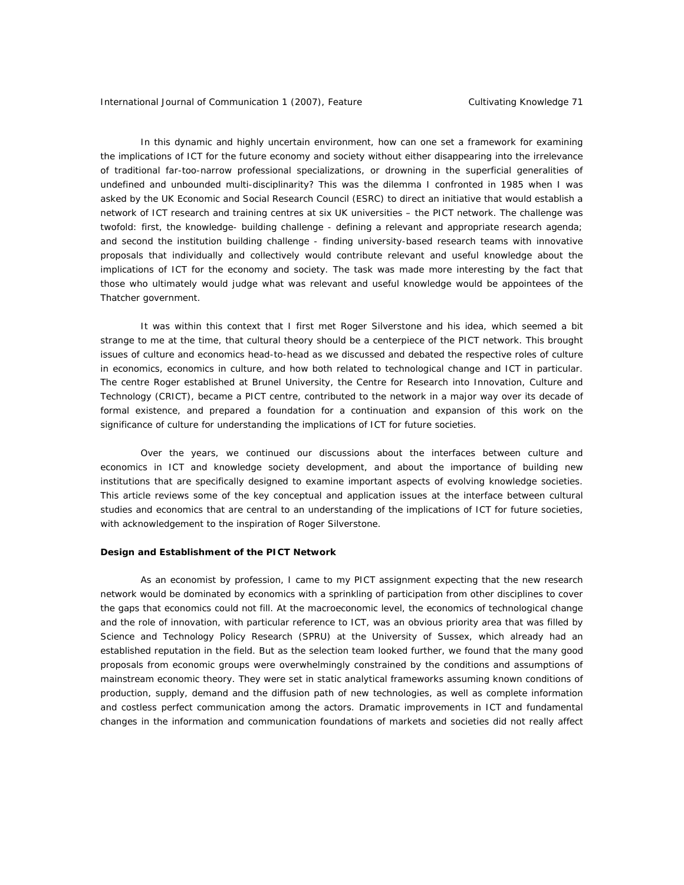In this dynamic and highly uncertain environment, how can one set a framework for examining the implications of ICT for the future economy and society without either disappearing into the irrelevance of traditional far-too-narrow professional specializations, or drowning in the superficial generalities of undefined and unbounded multi-disciplinarity? This was the dilemma I confronted in 1985 when I was asked by the UK Economic and Social Research Council (ESRC) to direct an initiative that would establish a network of ICT research and training centres at six UK universities – the PICT network. The challenge was twofold: first, the knowledge- building challenge - defining a relevant and appropriate research agenda; and second the institution building challenge - finding university-based research teams with innovative proposals that individually and collectively would contribute relevant and useful knowledge about the implications of ICT for the economy and society. The task was made more interesting by the fact that those who ultimately would judge what was relevant and useful knowledge would be appointees of the Thatcher government.

It was within this context that I first met Roger Silverstone and his idea, which seemed a bit strange to me at the time, that cultural theory should be a centerpiece of the PICT network. This brought issues of culture and economics head-to-head as we discussed and debated the respective roles of culture in economics, economics in culture, and how both related to technological change and ICT in particular. The centre Roger established at Brunel University, the Centre for Research into Innovation, Culture and Technology (CRICT), became a PICT centre, contributed to the network in a major way over its decade of formal existence, and prepared a foundation for a continuation and expansion of this work on the significance of culture for understanding the implications of ICT for future societies.

Over the years, we continued our discussions about the interfaces between culture and economics in ICT and knowledge society development, and about the importance of building new institutions that are specifically designed to examine important aspects of evolving knowledge societies. This article reviews some of the key conceptual and application issues at the interface between cultural studies and economics that are central to an understanding of the implications of ICT for future societies, with acknowledgement to the inspiration of Roger Silverstone.

## **Design and Establishment of the PICT Network**

As an economist by profession, I came to my PICT assignment expecting that the new research network would be dominated by economics with a sprinkling of participation from other disciplines to cover the gaps that economics could not fill. At the macroeconomic level, the economics of technological change and the role of innovation, with particular reference to ICT, was an obvious priority area that was filled by Science and Technology Policy Research (SPRU) at the University of Sussex, which already had an established reputation in the field. But as the selection team looked further, we found that the many good proposals from economic groups were overwhelmingly constrained by the conditions and assumptions of mainstream economic theory. They were set in static analytical frameworks assuming known conditions of production, supply, demand and the diffusion path of new technologies, as well as complete information and costless perfect communication among the actors. Dramatic improvements in ICT and fundamental changes in the information and communication foundations of markets and societies did not really affect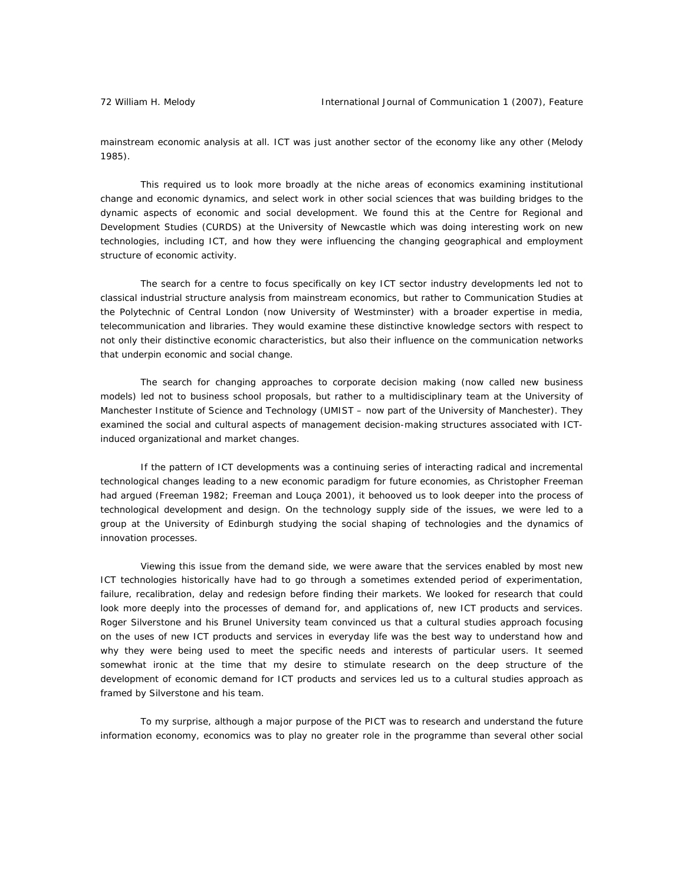mainstream economic analysis at all. ICT was just another sector of the economy like any other (Melody 1985).

This required us to look more broadly at the niche areas of economics examining institutional change and economic dynamics, and select work in other social sciences that was building bridges to the dynamic aspects of economic and social development. We found this at the Centre for Regional and Development Studies (CURDS) at the University of Newcastle which was doing interesting work on new technologies, including ICT, and how they were influencing the changing geographical and employment structure of economic activity.

The search for a centre to focus specifically on key ICT sector industry developments led not to classical industrial structure analysis from mainstream economics, but rather to Communication Studies at the Polytechnic of Central London (now University of Westminster) with a broader expertise in media, telecommunication and libraries. They would examine these distinctive knowledge sectors with respect to not only their distinctive economic characteristics, but also their influence on the communication networks that underpin economic and social change.

The search for changing approaches to corporate decision making (now called new business models) led not to business school proposals, but rather to a multidisciplinary team at the University of Manchester Institute of Science and Technology (UMIST – now part of the University of Manchester). They examined the social and cultural aspects of management decision-making structures associated with ICTinduced organizational and market changes.

If the pattern of ICT developments was a continuing series of interacting radical and incremental technological changes leading to a new economic paradigm for future economies, as Christopher Freeman had argued (Freeman 1982; Freeman and Louça 2001), it behooved us to look deeper into the process of technological development and design. On the technology supply side of the issues, we were led to a group at the University of Edinburgh studying the social shaping of technologies and the dynamics of innovation processes.

Viewing this issue from the demand side, we were aware that the services enabled by most new ICT technologies historically have had to go through a sometimes extended period of experimentation, failure, recalibration, delay and redesign before finding their markets. We looked for research that could look more deeply into the processes of demand for, and applications of, new ICT products and services. Roger Silverstone and his Brunel University team convinced us that a cultural studies approach focusing on the uses of new ICT products and services in everyday life was the best way to understand how and why they were being used to meet the specific needs and interests of particular users. It seemed somewhat ironic at the time that my desire to stimulate research on the deep structure of the development of economic demand for ICT products and services led us to a cultural studies approach as framed by Silverstone and his team.

To my surprise, although a major purpose of the PICT was to research and understand the future information economy, economics was to play no greater role in the programme than several other social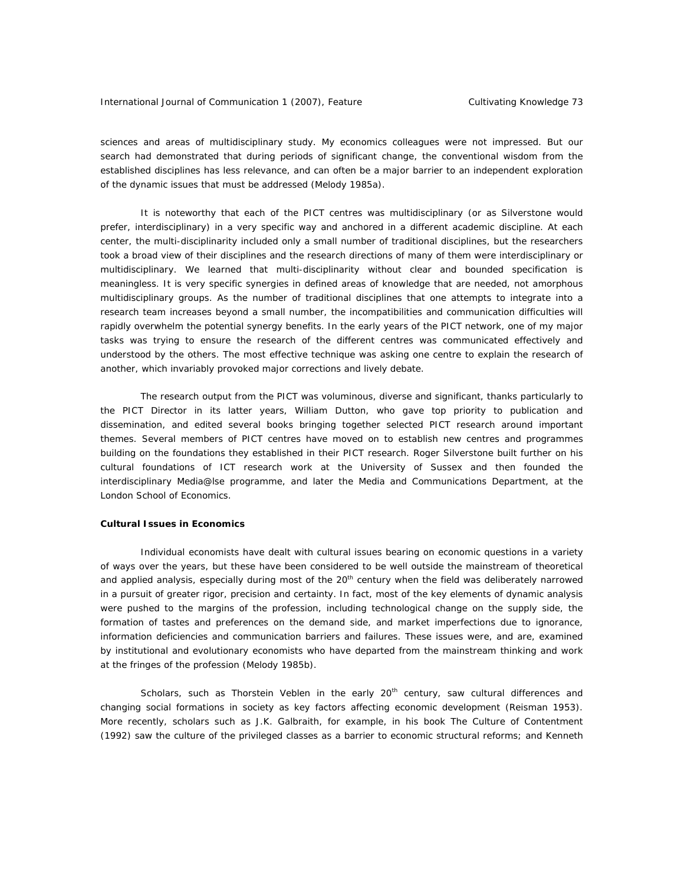sciences and areas of multidisciplinary study. My economics colleagues were not impressed. But our search had demonstrated that during periods of significant change, the conventional wisdom from the established disciplines has less relevance, and can often be a major barrier to an independent exploration of the dynamic issues that must be addressed (Melody 1985a).

It is noteworthy that each of the PICT centres was multidisciplinary (or as Silverstone would prefer, interdisciplinary) in a very specific way and anchored in a different academic discipline. At each center, the multi-disciplinarity included only a small number of traditional disciplines, but the researchers took a broad view of their disciplines and the research directions of many of them were interdisciplinary or multidisciplinary. We learned that multi-disciplinarity without clear and bounded specification is meaningless. It is very specific synergies in defined areas of knowledge that are needed, not amorphous multidisciplinary groups. As the number of traditional disciplines that one attempts to integrate into a research team increases beyond a small number, the incompatibilities and communication difficulties will rapidly overwhelm the potential synergy benefits. In the early years of the PICT network, one of my major tasks was trying to ensure the research of the different centres was communicated effectively and understood by the others. The most effective technique was asking one centre to explain the research of another, which invariably provoked major corrections and lively debate.

The research output from the PICT was voluminous, diverse and significant, thanks particularly to the PICT Director in its latter years, William Dutton, who gave top priority to publication and dissemination, and edited several books bringing together selected PICT research around important themes. Several members of PICT centres have moved on to establish new centres and programmes building on the foundations they established in their PICT research. Roger Silverstone built further on his cultural foundations of ICT research work at the University of Sussex and then founded the interdisciplinary Media@lse programme, and later the Media and Communications Department, at the London School of Economics.

## **Cultural Issues in Economics**

Individual economists have dealt with cultural issues bearing on economic questions in a variety of ways over the years, but these have been considered to be well outside the mainstream of theoretical and applied analysis, especially during most of the 20<sup>th</sup> century when the field was deliberately narrowed in a pursuit of greater rigor, precision and certainty. In fact, most of the key elements of dynamic analysis were pushed to the margins of the profession, including technological change on the supply side, the formation of tastes and preferences on the demand side, and market imperfections due to ignorance, information deficiencies and communication barriers and failures. These issues were, and are, examined by institutional and evolutionary economists who have departed from the mainstream thinking and work at the fringes of the profession (Melody 1985b).

Scholars, such as Thorstein Veblen in the early  $20<sup>th</sup>$  century, saw cultural differences and changing social formations in society as key factors affecting economic development (Reisman 1953). More recently, scholars such as J.K. Galbraith, for example, in his book *The Culture of Contentment* (1992) saw the culture of the privileged classes as a barrier to economic structural reforms; and Kenneth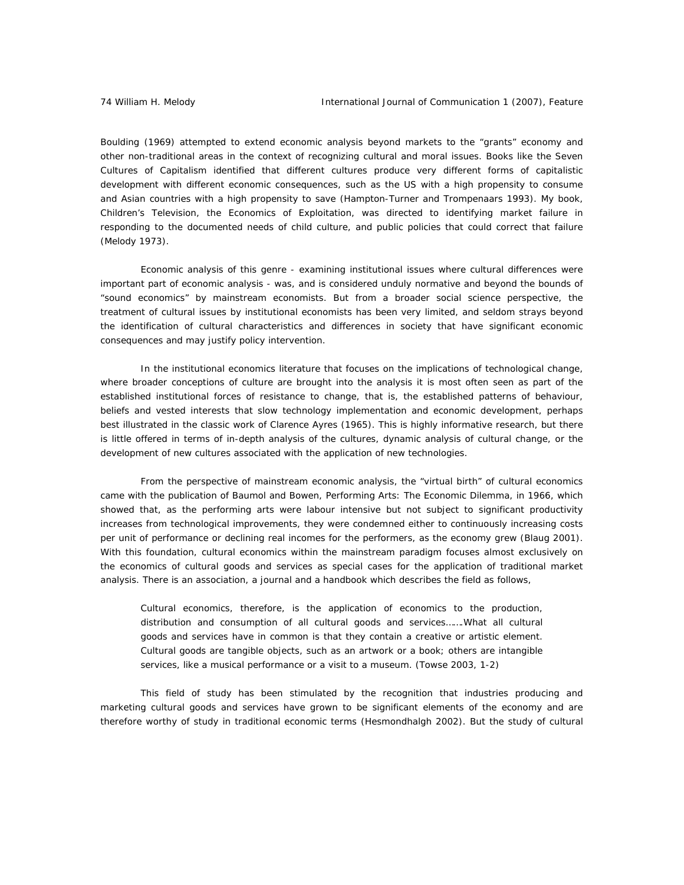Boulding (1969) attempted to extend economic analysis beyond markets to the "grants" economy and other non-traditional areas in the context of recognizing cultural and moral issues. Books like the *Seven Cultures of Capitalism* identified that different cultures produce very different forms of capitalistic development with different economic consequences, such as the US with a high propensity to consume and Asian countries with a high propensity to save (Hampton-Turner and Trompenaars 1993). My book, *Children's Television, the Economics of Exploitation*, was directed to identifying market failure in responding to the documented needs of child culture, and public policies that could correct that failure (Melody 1973).

Economic analysis of this genre - examining institutional issues where cultural differences were important part of economic analysis - was, and is considered unduly normative and beyond the bounds of "sound economics" by mainstream economists. But from a broader social science perspective, the treatment of cultural issues by institutional economists has been very limited, and seldom strays beyond the identification of cultural characteristics and differences in society that have significant economic consequences and may justify policy intervention.

In the institutional economics literature that focuses on the implications of technological change, where broader conceptions of culture are brought into the analysis it is most often seen as part of the established institutional forces of resistance to change, that is, the established patterns of behaviour, beliefs and vested interests that slow technology implementation and economic development, perhaps best illustrated in the classic work of Clarence Ayres (1965). This is highly informative research, but there is little offered in terms of in-depth analysis of the cultures, dynamic analysis of cultural change, or the development of new cultures associated with the application of new technologies.

From the perspective of mainstream economic analysis, the "virtual birth" of cultural economics came with the publication of Baumol and Bowen, *Performing Arts: The Economic Dilemma,* in 1966, which showed that, as the performing arts were labour intensive but not subject to significant productivity increases from technological improvements, they were condemned either to continuously increasing costs per unit of performance or declining real incomes for the performers, as the economy grew (Blaug 2001). With this foundation, cultural economics within the mainstream paradigm focuses almost exclusively on the economics of cultural goods and services as special cases for the application of traditional market analysis. There is an association, a journal and a handbook which describes the field as follows,

Cultural economics, therefore, is the application of economics to the production, distribution and consumption of all cultural goods and services…….What all cultural goods and services have in common is that they contain a creative or artistic element. Cultural goods are tangible objects, such as an artwork or a book; others are intangible services, like a musical performance or a visit to a museum. (Towse 2003, 1-2)

This field of study has been stimulated by the recognition that industries producing and marketing cultural goods and services have grown to be significant elements of the economy and are therefore worthy of study in traditional economic terms (Hesmondhalgh 2002). But the study of cultural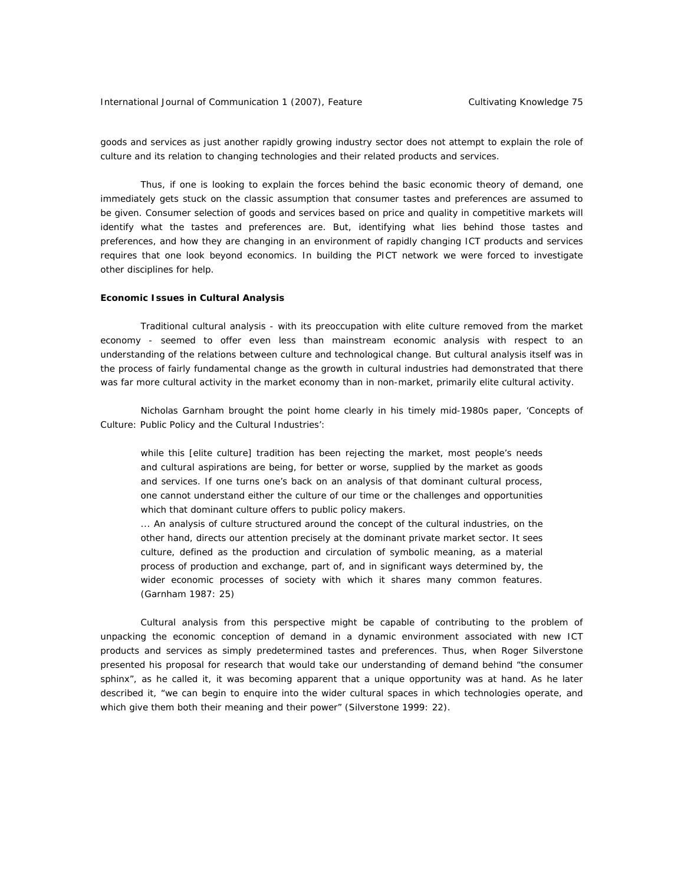goods and services as just another rapidly growing industry sector does not attempt to explain the role of culture and its relation to changing technologies and their related products and services.

Thus, if one is looking to explain the forces behind the basic economic theory of demand, one immediately gets stuck on the classic assumption that consumer tastes and preferences are assumed to be given. Consumer selection of goods and services based on price and quality in competitive markets will identify what the tastes and preferences are. But, identifying what lies behind those tastes and preferences, and how they are changing in an environment of rapidly changing ICT products and services requires that one look beyond economics. In building the PICT network we were forced to investigate other disciplines for help.

#### **Economic Issues in Cultural Analysis**

Traditional cultural analysis - with its preoccupation with elite culture removed from the market economy - seemed to offer even less than mainstream economic analysis with respect to an understanding of the relations between culture and technological change. But cultural analysis itself was in the process of fairly fundamental change as the growth in cultural industries had demonstrated that there was far more cultural activity in the market economy than in non-market, primarily elite cultural activity.

Nicholas Garnham brought the point home clearly in his timely mid-1980s paper, 'Concepts of Culture: Public Policy and the Cultural Industries':

while this [elite culture] tradition has been rejecting the market, most people's needs and cultural aspirations are being, for better or worse, supplied by the market as goods and services. If one turns one's back on an analysis of that dominant cultural process, one cannot understand either the culture of our time or the challenges and opportunities which that dominant culture offers to public policy makers.

... An analysis of culture structured around the concept of the cultural industries, on the other hand, directs our attention precisely at the dominant private market sector. It sees culture, defined as the production and circulation of symbolic meaning, as a material process of production and exchange, part of, and in significant ways determined by, the wider economic processes of society with which it shares many common features. (Garnham 1987: 25)

Cultural analysis from this perspective might be capable of contributing to the problem of unpacking the economic conception of demand in a dynamic environment associated with new ICT products and services as simply predetermined tastes and preferences. Thus, when Roger Silverstone presented his proposal for research that would take our understanding of demand behind "the consumer sphinx", as he called it, it was becoming apparent that a unique opportunity was at hand. As he later described it, "we can begin to enquire into the wider cultural spaces in which technologies operate, and which give them both their meaning and their power" (Silverstone 1999: 22).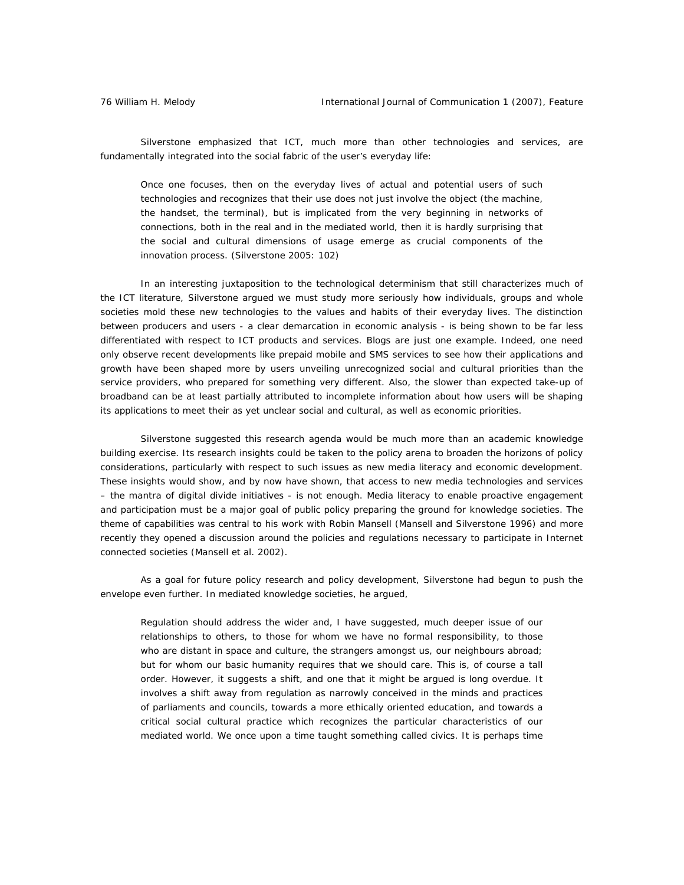Silverstone emphasized that ICT, much more than other technologies and services, are fundamentally integrated into the social fabric of the user's everyday life:

Once one focuses, then on the everyday lives of actual and potential users of such technologies and recognizes that their use does not just involve the object (the machine, the handset, the terminal), but is implicated from the very beginning in networks of connections, both in the real and in the mediated world, then it is hardly surprising that the social and cultural dimensions of usage emerge as crucial components of the innovation process. (Silverstone 2005: 102)

In an interesting juxtaposition to the technological determinism that still characterizes much of the ICT literature, Silverstone argued we must study more seriously how individuals, groups and whole societies mold these new technologies to the values and habits of their everyday lives. The distinction between producers and users - a clear demarcation in economic analysis - is being shown to be far less differentiated with respect to ICT products and services. Blogs are just one example. Indeed, one need only observe recent developments like prepaid mobile and SMS services to see how their applications and growth have been shaped more by users unveiling unrecognized social and cultural priorities than the service providers, who prepared for something very different. Also, the slower than expected take-up of broadband can be at least partially attributed to incomplete information about how users will be shaping its applications to meet their as yet unclear social and cultural, as well as economic priorities.

Silverstone suggested this research agenda would be much more than an academic knowledge building exercise. Its research insights could be taken to the policy arena to broaden the horizons of policy considerations, particularly with respect to such issues as new media literacy and economic development. These insights would show, and by now have shown, that access to new media technologies and services – the mantra of digital divide initiatives - is not enough. Media literacy to enable proactive engagement and participation must be a major goal of public policy preparing the ground for knowledge societies. The theme of capabilities was central to his work with Robin Mansell (Mansell and Silverstone 1996) and more recently they opened a discussion around the policies and regulations necessary to participate in Internet connected societies (Mansell et al. 2002).

As a goal for future policy research and policy development, Silverstone had begun to push the envelope even further. In mediated knowledge societies, he argued,

Regulation should address the wider and, I have suggested, much deeper issue of our relationships to others, to those for whom we have no formal responsibility, to those who are distant in space and culture, the strangers amongst us, our neighbours abroad; but for whom our basic humanity requires that we should care. This is, of course a tall order. However, it suggests a shift, and one that it might be argued is long overdue. It involves a shift away from regulation as narrowly conceived in the minds and practices of parliaments and councils, towards a more ethically oriented education, and towards a critical social cultural practice which recognizes the particular characteristics of our mediated world. We once upon a time taught something called civics. It is perhaps time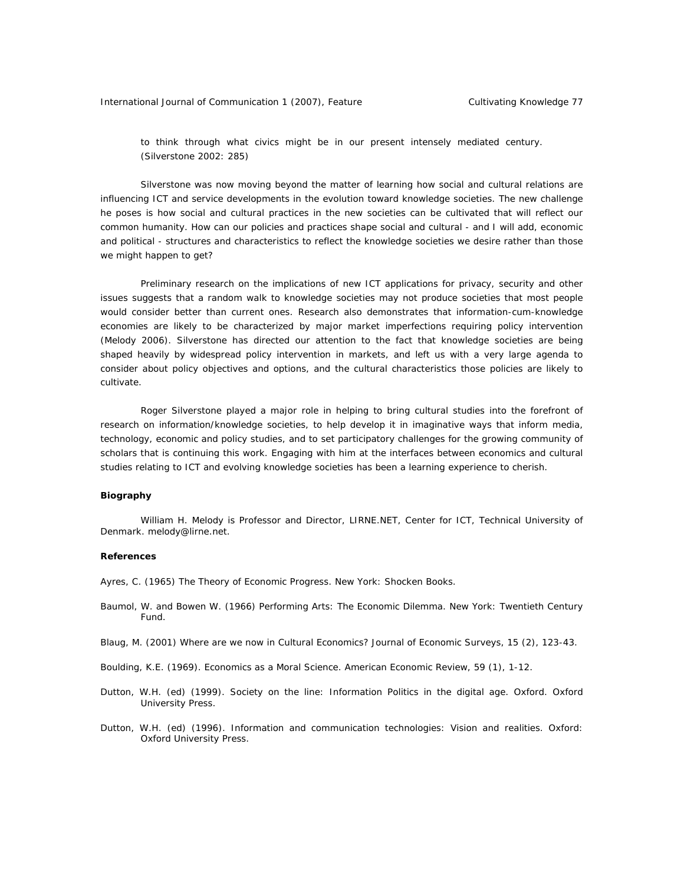to think through what civics might be in our present intensely mediated century. (Silverstone 2002: 285)

Silverstone was now moving beyond the matter of learning how social and cultural relations are influencing ICT and service developments in the evolution toward knowledge societies. The new challenge he poses is how social and cultural practices in the new societies can be cultivated that will reflect our common humanity. How can our policies and practices shape social and cultural - and I will add, economic and political - structures and characteristics to reflect the knowledge societies we desire rather than those we might happen to get?

Preliminary research on the implications of new ICT applications for privacy, security and other issues suggests that a random walk to knowledge societies may not produce societies that most people would consider better than current ones. Research also demonstrates that information-cum-knowledge economies are likely to be characterized by major market imperfections requiring policy intervention (Melody 2006). Silverstone has directed our attention to the fact that knowledge societies are being shaped heavily by widespread policy intervention in markets, and left us with a very large agenda to consider about policy objectives and options, and the cultural characteristics those policies are likely to cultivate.

Roger Silverstone played a major role in helping to bring cultural studies into the forefront of research on information/knowledge societies, to help develop it in imaginative ways that inform media, technology, economic and policy studies, and to set participatory challenges for the growing community of scholars that is continuing this work. Engaging with him at the interfaces between economics and cultural studies relating to ICT and evolving knowledge societies has been a learning experience to cherish.

## **Biography**

William H. Melody is Professor and Director, LIRNE.NET, Center for ICT, Technical University of Denmark. melody@lirne.net.

#### **References**

Ayres, C. (1965) The Theory of Economic Progress. New York: Shocken Books.

- Baumol, W. and Bowen W. (1966) Performing Arts: The Economic Dilemma. New York: Twentieth Century Fund.
- Blaug, M. (2001) Where are we now in Cultural Economics? Journal of Economic Surveys, 15 (2), 123-43.
- Boulding, K.E. (1969). Economics as a Moral Science. American Economic Review*,* 59 (1), 1-12.
- Dutton, W.H. (ed) (1999). Society on the line: Information Politics in the digital age. Oxford. Oxford University Press.
- Dutton, W.H. (ed) (1996). Information and communication technologies: Vision and realities. Oxford: Oxford University Press.